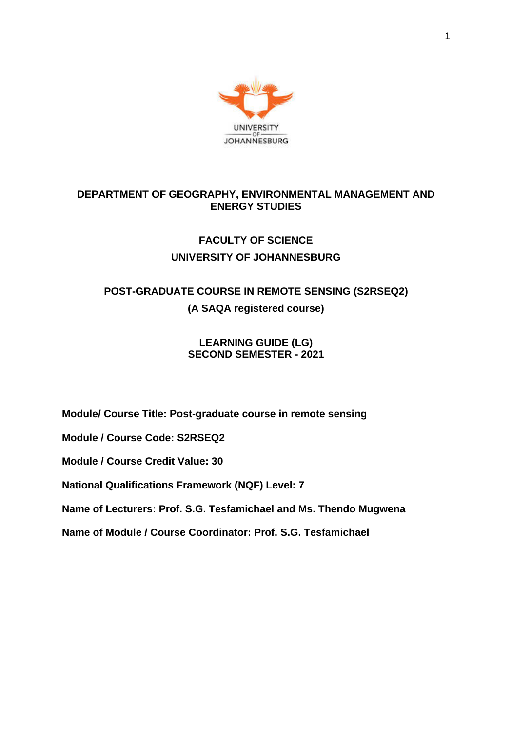

## **DEPARTMENT OF GEOGRAPHY, ENVIRONMENTAL MANAGEMENT AND ENERGY STUDIES**

## **FACULTY OF SCIENCE UNIVERSITY OF JOHANNESBURG**

# **POST-GRADUATE COURSE IN REMOTE SENSING (S2RSEQ2) (A SAQA registered course)**

## **LEARNING GUIDE (LG) SECOND SEMESTER - 2021**

**Module/ Course Title: Post-graduate course in remote sensing**

**Module / Course Code: S2RSEQ2**

**Module / Course Credit Value: 30**

**National Qualifications Framework (NQF) Level: 7**

**Name of Lecturers: Prof. S.G. Tesfamichael and Ms. Thendo Mugwena**

**Name of Module / Course Coordinator: Prof. S.G. Tesfamichael**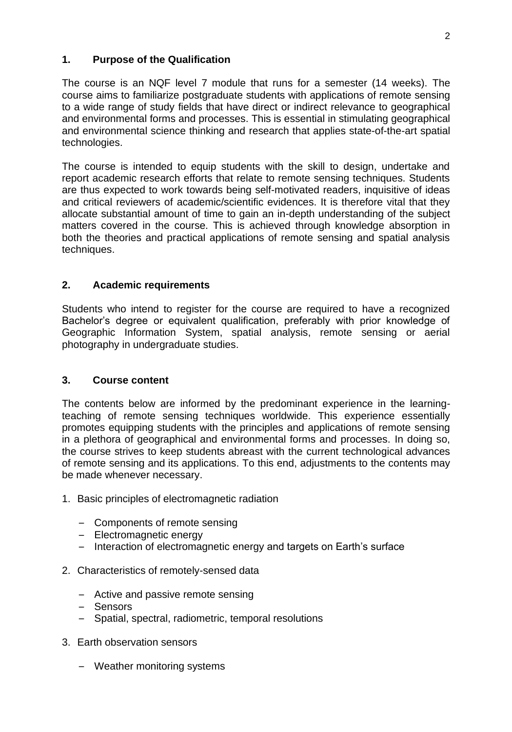## **1. Purpose of the Qualification**

The course is an NQF level 7 module that runs for a semester (14 weeks). The course aims to familiarize postgraduate students with applications of remote sensing to a wide range of study fields that have direct or indirect relevance to geographical and environmental forms and processes. This is essential in stimulating geographical and environmental science thinking and research that applies state-of-the-art spatial technologies.

The course is intended to equip students with the skill to design, undertake and report academic research efforts that relate to remote sensing techniques. Students are thus expected to work towards being self-motivated readers, inquisitive of ideas and critical reviewers of academic/scientific evidences. It is therefore vital that they allocate substantial amount of time to gain an in-depth understanding of the subject matters covered in the course. This is achieved through knowledge absorption in both the theories and practical applications of remote sensing and spatial analysis techniques.

## **2. Academic requirements**

Students who intend to register for the course are required to have a recognized Bachelor's degree or equivalent qualification, preferably with prior knowledge of Geographic Information System, spatial analysis, remote sensing or aerial photography in undergraduate studies.

#### **3. Course content**

The contents below are informed by the predominant experience in the learningteaching of remote sensing techniques worldwide. This experience essentially promotes equipping students with the principles and applications of remote sensing in a plethora of geographical and environmental forms and processes. In doing so, the course strives to keep students abreast with the current technological advances of remote sensing and its applications. To this end, adjustments to the contents may be made whenever necessary.

- 1. Basic principles of electromagnetic radiation
	- Components of remote sensing
	- Electromagnetic energy
	- Interaction of electromagnetic energy and targets on Earth's surface
- 2. Characteristics of remotely-sensed data
	- Active and passive remote sensing
	- Sensors
	- Spatial, spectral, radiometric, temporal resolutions
- 3. Earth observation sensors
	- Weather monitoring systems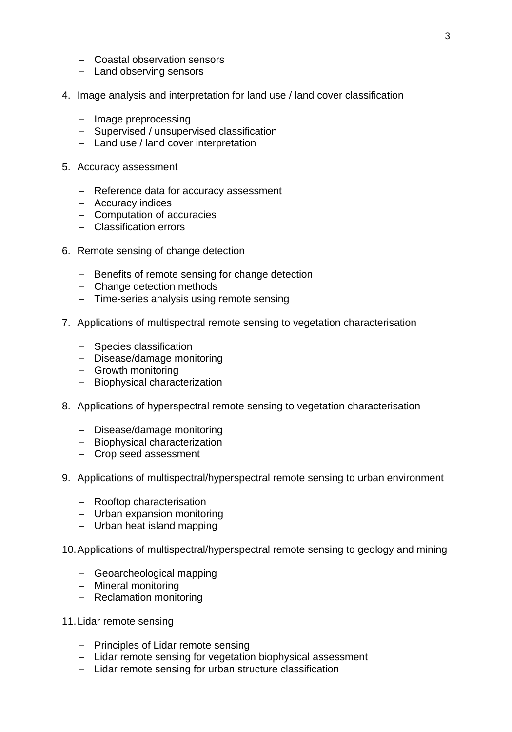- Coastal observation sensors
- Land observing sensors
- 4. Image analysis and interpretation for land use / land cover classification
	- Image preprocessing
	- Supervised / unsupervised classification
	- Land use / land cover interpretation
- 5. Accuracy assessment
	- Reference data for accuracy assessment
	- Accuracy indices
	- Computation of accuracies
	- Classification errors
- 6. Remote sensing of change detection
	- Benefits of remote sensing for change detection
	- Change detection methods
	- Time-series analysis using remote sensing
- 7. Applications of multispectral remote sensing to vegetation characterisation
	- Species classification
	- Disease/damage monitoring
	- Growth monitoring
	- Biophysical characterization
- 8. Applications of hyperspectral remote sensing to vegetation characterisation
	- Disease/damage monitoring
	- Biophysical characterization
	- Crop seed assessment
- 9. Applications of multispectral/hyperspectral remote sensing to urban environment
	- Rooftop characterisation
	- Urban expansion monitoring
	- Urban heat island mapping
- 10.Applications of multispectral/hyperspectral remote sensing to geology and mining
	- Geoarcheological mapping
	- Mineral monitoring
	- Reclamation monitoring
- 11.Lidar remote sensing
	- Principles of Lidar remote sensing
	- Lidar remote sensing for vegetation biophysical assessment
	- Lidar remote sensing for urban structure classification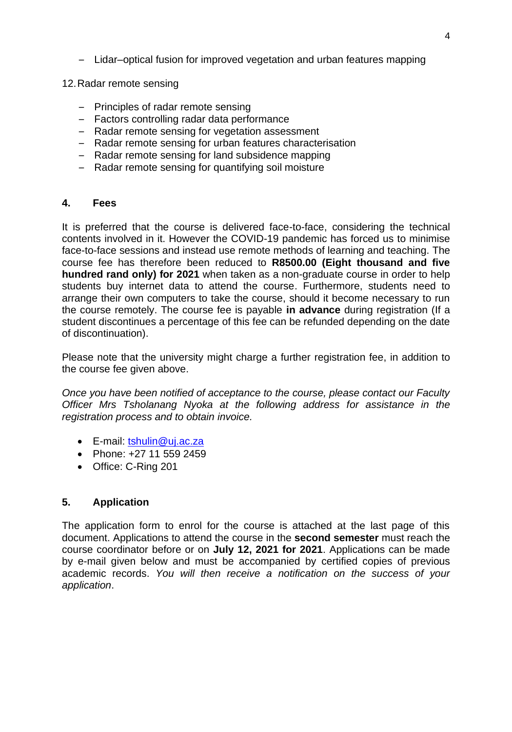- Lidar–optical fusion for improved vegetation and urban features mapping
- 12.Radar remote sensing
	- Principles of radar remote sensing
	- Factors controlling radar data performance
	- Radar remote sensing for vegetation assessment
	- Radar remote sensing for urban features characterisation
	- Radar remote sensing for land subsidence mapping
	- Radar remote sensing for quantifying soil moisture

#### **4. Fees**

It is preferred that the course is delivered face-to-face, considering the technical contents involved in it. However the COVID-19 pandemic has forced us to minimise face-to-face sessions and instead use remote methods of learning and teaching. The course fee has therefore been reduced to **R8500.00 (Eight thousand and five hundred rand only) for 2021** when taken as a non-graduate course in order to help students buy internet data to attend the course. Furthermore, students need to arrange their own computers to take the course, should it become necessary to run the course remotely. The course fee is payable **in advance** during registration (If a student discontinues a percentage of this fee can be refunded depending on the date of discontinuation).

Please note that the university might charge a further registration fee, in addition to the course fee given above.

*Once you have been notified of acceptance to the course, please contact our Faculty Officer Mrs Tsholanang Nyoka at the following address for assistance in the registration process and to obtain invoice.*

- E-mail: [tshulin@uj.ac.za](mailto:tshulin@uj.ac.za)
- Phone: +27 11 559 2459
- Office: C-Ring 201

## **5. Application**

The application form to enrol for the course is attached at the last page of this document. Applications to attend the course in the **second semester** must reach the course coordinator before or on **July 12, 2021 for 2021**. Applications can be made by e-mail given below and must be accompanied by certified copies of previous academic records. *You will then receive a notification on the success of your application*.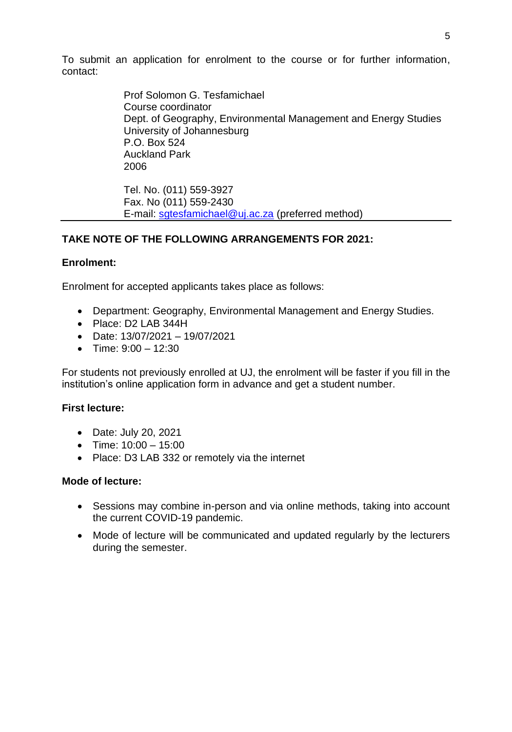To submit an application for enrolment to the course or for further information, contact:

> Prof Solomon G. Tesfamichael Course coordinator Dept. of Geography, Environmental Management and Energy Studies University of Johannesburg P.O. Box 524 Auckland Park 2006

Tel. No. (011) 559-3927 Fax. No (011) 559-2430 E-mail: [sgtesfamichael@uj.ac.za](mailto:sgtesfamichael@uj.ac.za) (preferred method)

## **TAKE NOTE OF THE FOLLOWING ARRANGEMENTS FOR 2021:**

#### **Enrolment:**

Enrolment for accepted applicants takes place as follows:

- Department: Geography, Environmental Management and Energy Studies.
- Place: D2 LAB 344H
- Date: 13/07/2021 19/07/2021
- Time:  $9:00 12:30$

For students not previously enrolled at UJ, the enrolment will be faster if you fill in the institution's online application form in advance and get a student number.

#### **First lecture:**

- Date: July 20, 2021
- Time:  $10:00 15:00$
- Place: D3 LAB 332 or remotely via the internet

#### **Mode of lecture:**

- Sessions may combine in-person and via online methods, taking into account the current COVID-19 pandemic.
- Mode of lecture will be communicated and updated regularly by the lecturers during the semester.